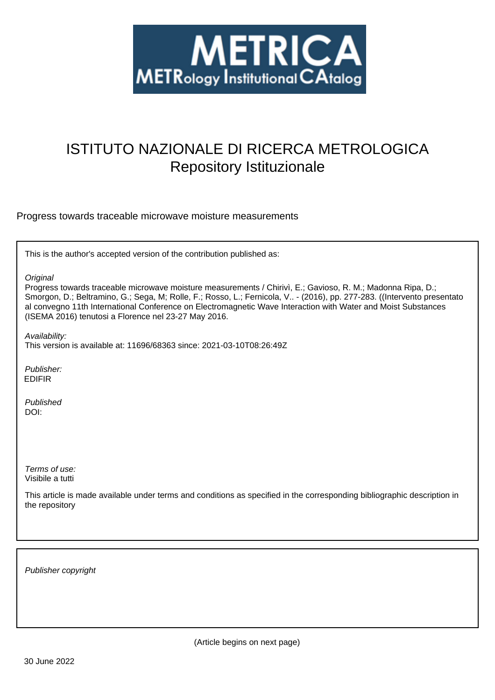

# ISTITUTO NAZIONALE DI RICERCA METROLOGICA Repository Istituzionale

Progress towards traceable microwave moisture measurements

This is the author's accepted version of the contribution published as:

**Original** 

Progress towards traceable microwave moisture measurements / Chirivì, E.; Gavioso, R. M.; Madonna Ripa, D.; Smorgon, D.; Beltramino, G.; Sega, M; Rolle, F.; Rosso, L.; Fernicola, V.. - (2016), pp. 277-283. ((Intervento presentato al convegno 11th International Conference on Electromagnetic Wave Interaction with Water and Moist Substances (ISEMA 2016) tenutosi a Florence nel 23-27 May 2016.

Availability:

This version is available at: 11696/68363 since: 2021-03-10T08:26:49Z

Publisher: EDIFIR

Published DOI:

Terms of use: Visibile a tutti

This article is made available under terms and conditions as specified in the corresponding bibliographic description in the repository

Publisher copyright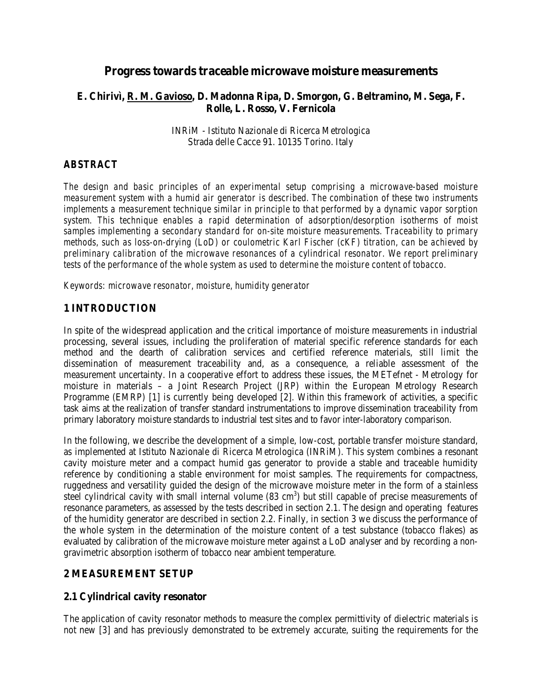# **Progress towards traceable microwave moisture measurements**

## **E. Chirivì, R. M. Gavioso, D. Madonna Ripa, D. Smorgon, G. Beltramino, M. Sega, F. Rolle, L. Rosso, V. Fernicola**

INRiM - Istituto Nazionale di Ricerca Metrologica Strada delle Cacce 91. 10135 Torino. Italy

## *ABSTRACT*

*The design and basic principles of an experimental setup comprising a microwave-based moisture measurement system with a humid air generator is described. The combination of these two instruments implements a measurement technique similar in principle to that performed by a dynamic vapor sorption system. This technique enables a rapid determination of adsorption/desorption isotherms of moist samples implementing a secondary standard for on-site moisture measurements. Traceability to primary methods, such as loss-on-drying (LoD) or coulometric Karl Fischer (cKF) titration, can be achieved by preliminary calibration of the microwave resonances of a cylindrical resonator. We report preliminary tests of the performance of the whole system as used to determine the moisture content of tobacco.*

*Keywords: microwave resonator, moisture, humidity generator*

# **1 INTRODUCTION**

In spite of the widespread application and the critical importance of moisture measurements in industrial processing, several issues, including the proliferation of material specific reference standards for each method and the dearth of calibration services and certified reference materials, still limit the dissemination of measurement traceability and, as a consequence, a reliable assessment of the measurement uncertainty. In a cooperative effort to address these issues, the METefnet - Metrology for moisture in materials – a Joint Research Project (JRP) within the European Metrology Research Programme (EMRP) [1] is currently being developed [2]. Within this framework of activities, a specific task aims at the realization of transfer standard instrumentations to improve dissemination traceability from primary laboratory moisture standards to industrial test sites and to favor inter-laboratory comparison.

In the following, we describe the development of a simple, low-cost, portable transfer moisture standard, as implemented at Istituto Nazionale di Ricerca Metrologica (INRiM). This system combines a resonant cavity moisture meter and a compact humid gas generator to provide a stable and traceable humidity reference by conditioning a stable environment for moist samples. The requirements for compactness, ruggedness and versatility guided the design of the microwave moisture meter in the form of a stainless steel cylindrical cavity with small internal volume  $(83 \text{ cm}^3)$  but still capable of precise measurements of resonance parameters, as assessed by the tests described in section 2.1. The design and operating features of the humidity generator are described in section 2.2. Finally, in section 3 we discuss the performance of the whole system in the determination of the moisture content of a test substance (tobacco flakes) as evaluated by calibration of the microwave moisture meter against a LoD analyser and by recording a nongravimetric absorption isotherm of tobacco near ambient temperature.

## **2 MEASUREMENT SETUP**

#### **2.1 Cylindrical cavity resonator**

The application of cavity resonator methods to measure the complex permittivity of dielectric materials is not new [3] and has previously demonstrated to be extremely accurate, suiting the requirements for the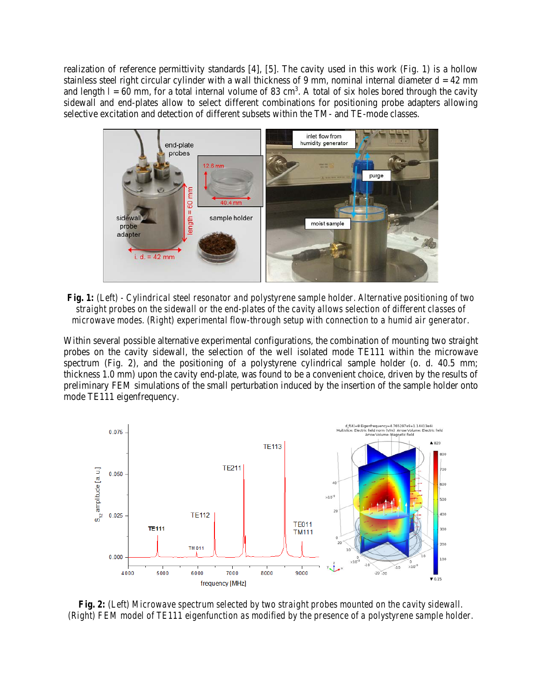realization of reference permittivity standards [4], [5]. The cavity used in this work (Fig. 1) is a hollow stainless steel right circular cylinder with a wall thickness of 9 mm, nominal internal diameter  $d = 42$  mm and length  $l = 60$  mm, for a total internal volume of 83 cm<sup>3</sup>. A total of six holes bored through the cavity sidewall and end-plates allow to select different combinations for positioning probe adapters allowing selective excitation and detection of different subsets within the TM- and TE-mode classes.



*Fig. 1: (Left) - Cylindrical steel resonator and polystyrene sample holder. Alternative positioning of two straight probes on the sidewall or the end-plates of the cavity allows selection of different classes of microwave modes. (Right) experimental flow-through setup with connection to a humid air generator.*

Within several possible alternative experimental configurations, the combination of mounting two straight probes on the cavity sidewall, the selection of the well isolated mode TE111 within the microwave spectrum (Fig. 2), and the positioning of a polystyrene cylindrical sample holder (o. d. 40.5 mm; thickness 1.0 mm) upon the cavity end-plate, was found to be a convenient choice, driven by the results of preliminary FEM simulations of the small perturbation induced by the insertion of the sample holder onto mode TE111 eigenfrequency.



*Fig. 2: (Left) Microwave spectrum selected by two straight probes mounted on the cavity sidewall. (Right) FEM model of TE111 eigenfunction as modified by the presence of a polystyrene sample holder.*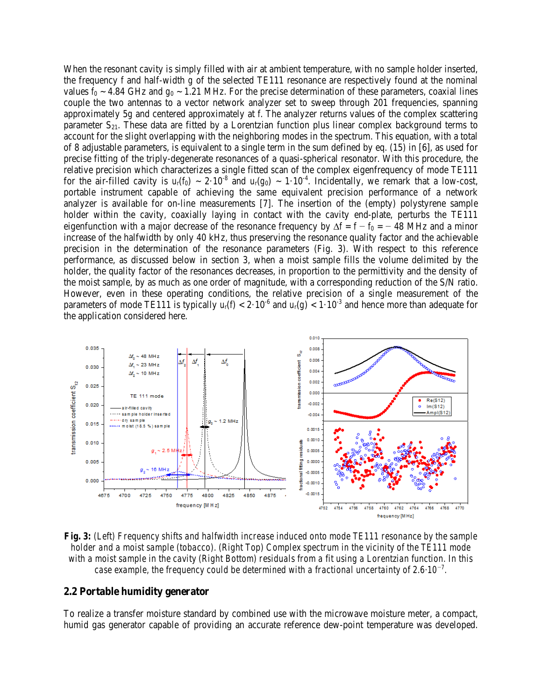When the resonant cavity is simply filled with air at ambient temperature, with no sample holder inserted, the frequency *f* and half-width *g* of the selected TE111 resonance are respectively found at the nominal values  $f_0 \sim 4.84$  GHz and  $g_0 \sim 1.21$  MHz. For the precise determination of these parameters, coaxial lines couple the two antennas to a vector network analyzer set to sweep through 201 frequencies, spanning approximately 5*g* and centered approximately at *f*. The analyzer returns values of the complex scattering parameter  $S_{21}$ . These data are fitted by a Lorentzian function plus linear complex background terms to account for the slight overlapping with the neighboring modes in the spectrum. This equation, with a total of 8 adjustable parameters, is equivalent to a single term in the sum defined by eq. (15) in [6], as used for precise fitting of the triply-degenerate resonances of a quasi-spherical resonator. With this procedure, the relative precision which characterizes a single fitted scan of the complex eigenfrequency of mode TE111 for the air-filled cavity is  $u_r(f_0) \sim 2.10^{-8}$  and  $u_r(g_0) \sim 1.10^{-4}$ . Incidentally, we remark that a low-cost, portable instrument capable of achieving the same equivalent precision performance of a network analyzer is available for on-line measurements [7]. The insertion of the (empty) polystyrene sample holder within the cavity, coaxially laying in contact with the cavity end-plate, perturbs the TE111 eigenfunction with a major decrease of the resonance frequency by  $\Delta f = f - f_0 = -48$  MHz and a minor increase of the halfwidth by only 40 kHz, thus preserving the resonance quality factor and the achievable precision in the determination of the resonance parameters (Fig. 3). With respect to this reference performance, as discussed below in section 3, when a moist sample fills the volume delimited by the holder, the quality factor of the resonances decreases, in proportion to the permittivity and the density of the moist sample, by as much as one order of magnitude, with a corresponding reduction of the S/N ratio. However, even in these operating conditions, the relative precision of a single measurement of the parameters of mode TE111 is typically  $u_r(f) < 2.10^{-6}$  and  $u_r(g) < 1.10^{-3}$  and hence more than adequate for the application considered here.



*Fig. 3: (Left) Frequency shifts and halfwidth increase induced onto mode TE111 resonance by the sample holder and a moist sample (tobacco). (Right Top) Complex spectrum in the vicinity of the TE111 mode with a moist sample in the cavity (Right Bottom) residuals from a fit using a Lorentzian function. In this case example, the frequency could be determined with a fractional uncertainty of 2.6·10<sup>−</sup><sup>7</sup> .*

#### **2.2 Portable humidity generator**

To realize a transfer moisture standard by combined use with the microwave moisture meter, a compact, humid gas generator capable of providing an accurate reference dew-point temperature was developed.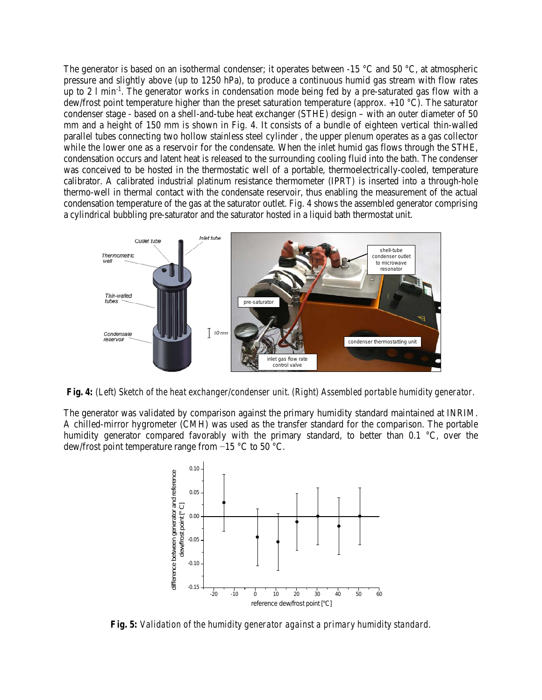The generator is based on an isothermal condenser; it operates between  $-15$  °C and 50 °C, at atmospheric pressure and slightly above (up to 1250 hPa), to produce a continuous humid gas stream with flow rates up to 2 1 min<sup>-1</sup>. The generator works in condensation mode being fed by a pre-saturated gas flow with a dew/frost point temperature higher than the preset saturation temperature (approx. +10 °C). The saturator condenser stage - based on a shell-and-tube heat exchanger (STHE) design – with an outer diameter of 50 mm and a height of 150 mm is shown in Fig. 4. It consists of a bundle of eighteen vertical thin-walled parallel tubes connecting two hollow stainless steel cylinder , the upper plenum operates as a gas collector while the lower one as a reservoir for the condensate. When the inlet humid gas flows through the STHE, condensation occurs and latent heat is released to the surrounding cooling fluid into the bath. The condenser was conceived to be hosted in the thermostatic well of a portable, thermoelectrically-cooled, temperature calibrator. A calibrated industrial platinum resistance thermometer (IPRT) is inserted into a through-hole thermo-well in thermal contact with the condensate reservoir, thus enabling the measurement of the actual condensation temperature of the gas at the saturator outlet. Fig. 4 shows the assembled generator comprising a cylindrical bubbling pre-saturator and the saturator hosted in a liquid bath thermostat unit.



*Fig. 4: (Left) Sketch of the heat exchanger/condenser unit. (Right) Assembled portable humidity generator.* 

The generator was validated by comparison against the primary humidity standard maintained at INRIM. A chilled-mirror hygrometer (CMH) was used as the transfer standard for the comparison. The portable humidity generator compared favorably with the primary standard, to better than  $0.1 \degree C$ , over the dew/frost point temperature range from −15 °C to 50 °C.



*Fig. 5: Validation of the humidity generator against a primary humidity standard.*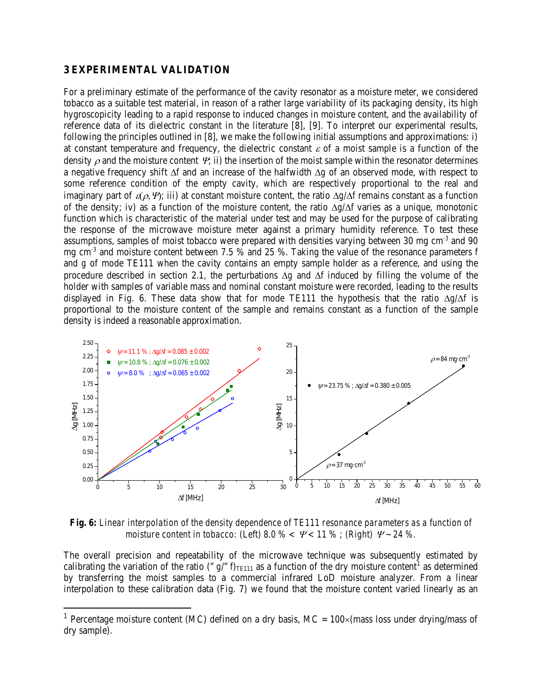#### **3 EXPERIMENTAL VALIDATION**

For a preliminary estimate of the performance of the cavity resonator as a moisture meter, we considered tobacco as a suitable test material, in reason of a rather large variability of its packaging density, its high hygroscopicity leading to a rapid response to induced changes in moisture content, and the availability of reference data of its dielectric constant in the literature [8], [9]. To interpret our experimental results, following the principles outlined in [8], we make the following initial assumptions and approximations: i) at constant temperature and frequency, the dielectric constant  $\varepsilon$  of a moist sample is a function of the density  $\rho$  and the moisture content  $\Psi$ ; ii) the insertion of the moist sample within the resonator determines a negative frequency shift ∆*f* and an increase of the halfwidth ∆*g* of an observed mode, with respect to some reference condition of the empty cavity, which are respectively proportional to the real and imaginary part of  $\varepsilon(\rho, \Psi)$ ; iii) at constant moisture content, the ratio  $\Delta g/\Delta f$  remains constant as a function of the density; iv) as a function of the moisture content, the ratio ∆*g/*∆*f* varies as a unique, monotonic function which is characteristic of the material under test and may be used for the purpose of calibrating the response of the microwave moisture meter against a primary humidity reference. To test these assumptions, samples of moist tobacco were prepared with densities varying between 30 mg cm<sup>-3</sup> and 90 mg cm-3 and moisture content between 7.5 % and 25 %. Taking the value of the resonance parameters *f* and *g* of mode TE111 when the cavity contains an empty sample holder as a reference, and using the procedure described in section 2.1, the perturbations ∆*g* and ∆*f* induced by filling the volume of the holder with samples of variable mass and nominal constant moisture were recorded, leading to the results displayed in Fig. 6. These data show that for mode TE111 the hypothesis that the ratio ∆*g/*∆*f* is proportional to the moisture content of the sample and remains constant as a function of the sample density is indeed a reasonable approximation.



*Fig. 6: Linear interpolation of the density dependence of TE111 resonance parameters as a function of moisture content in tobacco: (Left) 8.0 % <* <sup>Ψ</sup> *< 11 % ; (Right)* <sup>Ψ</sup> *~ 24 %.*

The overall precision and repeatability of the microwave technique was subsequently estimated by calibrating the variation of the ratio (" $g$ /"  $f$ )<sub>TE[1](#page-5-0)11</sub> as a function of the dry moisture content<sup>1</sup> as determined by transferring the moist samples to a commercial infrared LoD moisture analyzer. From a linear interpolation to these calibration data (Fig. 7) we found that the moisture content varied linearly as an

<span id="page-5-0"></span><sup>&</sup>lt;sup>1</sup> Percentage moisture content (MC) defined on a dry basis, MC =  $100 \times$  (mass loss under drying/mass of dry sample).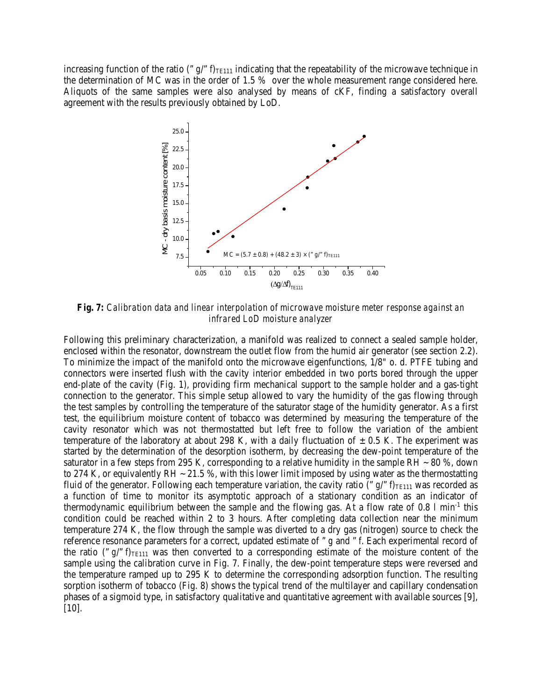increasing function of the ratio (" $g$ /" $f$ )<sub>TE111</sub> indicating that the repeatability of the microwave technique in the determination of MC was in the order of 1.5 % over the whole measurement range considered here. Aliquots of the same samples were also analysed by means of cKF, finding a satisfactory overall agreement with the results previously obtained by LoD.



*Fig. 7: Calibration data and linear interpolation of microwave moisture meter response against an infrared LoD moisture analyzer*

Following this preliminary characterization, a manifold was realized to connect a sealed sample holder, enclosed within the resonator, downstream the outlet flow from the humid air generator (see section 2.2). To minimize the impact of the manifold onto the microwave eigenfunctions, 1/8" o. d. PTFE tubing and connectors were inserted flush with the cavity interior embedded in two ports bored through the upper end-plate of the cavity (Fig. 1), providing firm mechanical support to the sample holder and a gas-tight connection to the generator. This simple setup allowed to vary the humidity of the gas flowing through the test samples by controlling the temperature of the saturator stage of the humidity generator. As a first test, the equilibrium moisture content of tobacco was determined by measuring the temperature of the cavity resonator which was not thermostatted but left free to follow the variation of the ambient temperature of the laboratory at about 298 K, with a daily fluctuation of  $\pm$  0.5 K. The experiment was started by the determination of the desorption isotherm, by decreasing the dew-point temperature of the saturator in a few steps from 295 K, corresponding to a relative humidity in the sample RH  $\sim$  80 %, down to 274 K, or equivalently RH  $\sim$  21.5 %, with this lower limit imposed by using water as the thermostatting fluid of the generator. Following each temperature variation, the cavity ratio (" $g$ /" $f$ )<sub>TE111</sub> was recorded as a function of time to monitor its asymptotic approach of a stationary condition as an indicator of thermodynamic equilibrium between the sample and the flowing gas. At a flow rate of  $0.8 \text{ l min}^{-1}$  this condition could be reached within 2 to 3 hours. After completing data collection near the minimum temperature 274 K, the flow through the sample was diverted to a dry gas (nitrogen) source to check the reference resonance parameters for a correct, updated estimate of " *g* and " *f*. Each experimental record of the ratio (" $g$ /" $f$ )<sub>TE111</sub> was then converted to a corresponding estimate of the moisture content of the sample using the calibration curve in Fig. 7. Finally, the dew-point temperature steps were reversed and the temperature ramped up to 295 K to determine the corresponding adsorption function. The resulting sorption isotherm of tobacco (Fig. 8) shows the typical trend of the multilayer and capillary condensation phases of a sigmoid type, in satisfactory qualitative and quantitative agreement with available sources [9], [10].